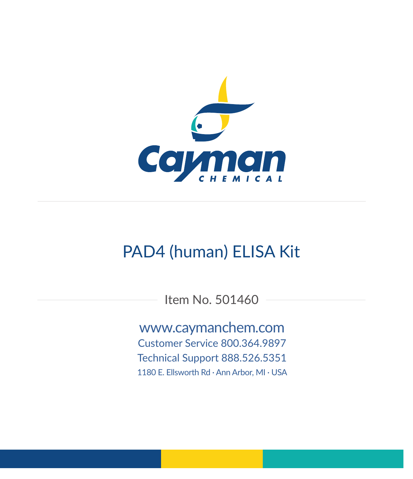

# PAD4 (human) ELISA Kit

Item No. 501460

www.caymanchem.com Customer Service 800.364.9897 Technical Support 888.526.5351 1180 E. Ellsworth Rd · Ann Arbor, MI · USA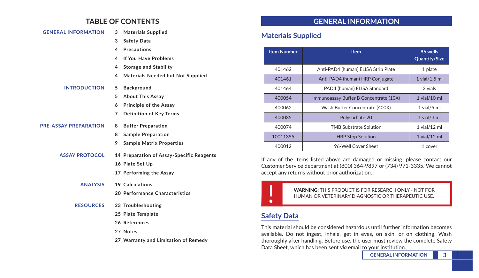# **TABLE OF CONTENTS**

| <b>GENERAL INFORMATION</b> |   | 3 Materials Supplied                     |
|----------------------------|---|------------------------------------------|
|                            | 3 | <b>Safety Data</b>                       |
|                            | 4 | <b>Precautions</b>                       |
|                            |   | 4 If You Have Problems                   |
|                            |   | 4 Storage and Stability                  |
|                            | 4 | <b>Materials Needed but Not Supplied</b> |
| <b>INTRODUCTION</b>        | 5 | Background                               |

- **5 About This Assay**
- **6 Principle of the Assay**
- **7 Definition of Key Terms**

#### **PRE-ASSAY PREPARATION 8 Buffer Preparation**

- 
- **8 Sample Preparation**
- **9 Sample Matrix Properties**
- **ASSAY PROTOCOL 14 Preparation of Assay-Specific Reagents**
	- **16 Plate Set Up**
	- **17 Performing the Assay**
	- **ANALYSIS 19 Calculations**
		- **20 Performance Characteristics**
	- **RESOURCES 23 Troubleshooting**
		- **25 Plate Template**
		- **26 References**
		- **27 Notes**
		- **27 Warranty and Limitation of Remedy**

# **GENERAL INFORMATION**

# **Materials Supplied**

| <b>Item Number</b> | <b>Item</b>                            | 96 wells<br><b>Quantity/Size</b> |
|--------------------|----------------------------------------|----------------------------------|
| 401462             | Anti-PAD4 (human) ELISA Strip Plate    | 1 plate                          |
| 401461             | Anti-PAD4 (human) HRP Conjugate        | $1$ vial/ $1.5$ ml               |
| 401464             | PAD4 (human) ELISA Standard            | 2 vials                          |
| 400054             | Immunoassay Buffer B Concentrate (10X) | $1$ vial/ $10$ ml                |
| 400062             | Wash Buffer Concentrate (400X)         | $1$ vial/ $5$ ml                 |
| 400035             | Polysorbate 20                         | $1$ vial/ $3$ ml                 |
| 400074             | TMB Substrate Solution                 | $1$ vial/ $12$ ml                |
| 10011355           | <b>HRP Stop Solution</b>               | $1$ vial/ $12$ ml                |
| 400012             | 96-Well Cover Sheet                    | 1 cover                          |

If any of the items listed above are damaged or missing, please contact our Customer Service department at (800) 364-9897 or (734) 971-3335. We cannot accept any returns without prior authorization.



! **WARNING:** THIS PRODUCT IS FOR RESEARCH ONLY - NOT FOR HUMAN OR VETERINARY DIAGNOSTIC OR THERAPEUTIC USE.

# **Safety Data**

This material should be considered hazardous until further information becomes available. Do not ingest, inhale, get in eyes, on skin, or on clothing. Wash thoroughly after handling. Before use, the user must review the complete Safety Data Sheet, which has been sent *via* email to your institution.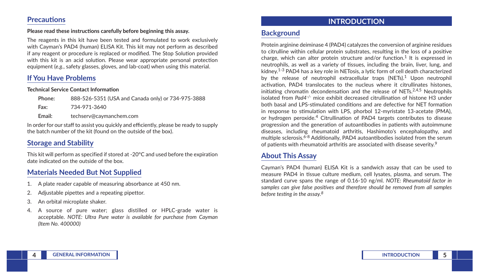### **Precautions**

#### **Please read these instructions carefully before beginning this assay.**

The reagents in this kit have been tested and formulated to work exclusively with Cayman's PAD4 (human) ELISA Kit. This kit may not perform as described if any reagent or procedure is replaced or modified. The Stop Solution provided with this kit is an acid solution. Please wear appropriate personal protection equipment (*e.g.*, safety glasses, gloves, and lab-coat) when using this material.

# **If You Have Problems**

#### **Technical Service Contact Information**

| Phone: | 888-526-5351 (USA and Canada only) or 734-975-3888 |
|--------|----------------------------------------------------|
| Fax:   | 734-971-3640                                       |
| Email: | techserv@caymanchem.com                            |
|        |                                                    |

In order for our staff to assist you quickly and efficiently, please be ready to supply the batch number of the kit (found on the outside of the box).

# **Storage and Stability**

This kit will perform as specified if stored at -20°C and used before the expiration date indicated on the outside of the box.

# **Materials Needed But Not Supplied**

- 1. A plate reader capable of measuring absorbance at 450 nm.
- 2. Adjustable pipettes and a repeating pipettor.
- 3. An orbital microplate shaker.
- 4. A source of pure water; glass distilled or HPLC-grade water is acceptable. *NOTE: Ultra Pure water is available for purchase from Cayman (Item No. 400000)*

## **INTRODUCTION**

## **Background**

Protein arginine deiminase 4 (PAD4) catalyzes the conversion of arginine residues to citrulline within cellular protein substrates, resulting in the loss of a positive charge, which can alter protein structure and/or function.<sup>1</sup> It is expressed in neutrophils, as well as a variety of tissues, including the brain, liver, lung, and kidney.1-3 PAD4 has a key role in NETosis, a lytic form of cell death characterized by the release of neutrophil extracellular traps (NETs).<sup>1</sup> Upon neutrophil activation, PAD4 translocates to the nucleus where it citrullinates histones, initiating chromatin decondensation and the release of NETs. $2,4,5$  Neutrophils isolated from *Pad4-/-* mice exhibit decreased citrullination of histone H3 under both basal and LPS-stimulated conditions and are defective for NET formation in response to stimulation with LPS, phorbol 12-myristate 13-acetate (PMA), or hydrogen peroxide.4 Citrullination of PAD4 targets contributes to disease progression and the generation of autoantibodies in patients with autoimmune diseases, including rheumatoid arthritis, Hashimoto's encephalopathy, and multiple sclerosis.<sup>6-8</sup> Additionally, PAD4 autoantibodies isolated from the serum of patients with rheumatoid arthritis are associated with disease severity.<sup>9</sup>

# **About This Assay**

Cayman's PAD4 (human) ELISA Kit is a sandwich assay that can be used to measure PAD4 in tissue culture medium, cell lysates, plasma, and serum. The standard curve spans the range of 0.16-10 ng/ml. *NOTE: Rheumatoid factor in samples can give false positives and therefore should be removed from all samples before testing in the assay.<sup>8</sup>*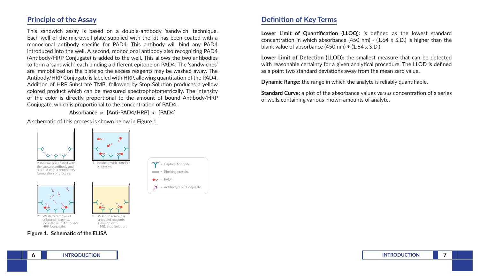# **Principle of the Assay**

This sandwich assay is based on a double-antibody 'sandwich' technique. Each well of the microwell plate supplied with the kit has been coated with a monoclonal antibody specific for PAD4. This antibody will bind any PAD4 introduced into the well. A second, monoclonal antibody also recognizing PAD4 (Antibody/HRP Conjugate) is added to the well. This allows the two antibodies to form a 'sandwich', each binding a different epitope on PAD4. The 'sandwiches' are immobilized on the plate so the excess reagents may be washed away. The Antibody/HRP Conjugate is labeled with HRP, allowing quantitation of the PAD4. Addition of HRP Substrate TMB, followed by Stop Solution produces a yellow colored product which can be measured spectrophotometrically. The intensity of the color is directly proportional to the amount of bound Antibody/HRP Conjugate, which is proportional to the concentration of PAD4.

**Absorbance** ∝ **[Anti-PAD4/HRP]** ∝ **[PAD4]**

A schematic of this process is shown below in Figure 1.



## **Definition of Key Terms**

**Lower Limit of Quantification (LLOQ):** is defined as the lowest standard concentration in which absorbance (450 nm) - (1.64 x S.D.) is higher than the blank value of absorbance  $(450 \text{ nm}) + (1.64 \times S.D.).$ 

**Lower Limit of Detection (LLOD):** the smallest measure that can be detected with reasonable certainty for a given analytical procedure. The LLOD is defined as a point two standard deviations away from the mean zero value.

**Dynamic Range:** the range in which the analyte is reliably quantifiable.

**Standard Curve:** a plot of the absorbance values *versus* concentration of a series of wells containing various known amounts of analyte.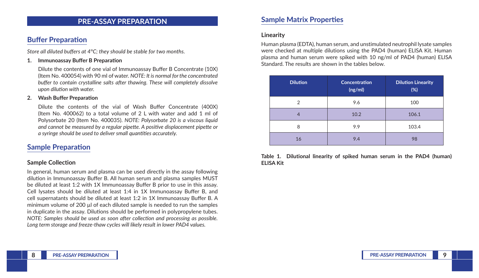### **PRE-ASSAY PREPARATION**

## **Buffer Preparation**

*Store all diluted buffers at 4°C; they should be stable for two months.*

#### **1. Immunoassay Buffer B Preparation**

Dilute the contents of one vial of Immunoassay Buffer B Concentrate (10X) (Item No. 400054) with 90 ml of water. *NOTE: It is normal for the concentrated buffer to contain crystalline salts after thawing. These will completely dissolve upon dilution with water.*

#### **2. Wash Buffer Preparation**

Dilute the contents of the vial of Wash Buffer Concentrate (400X) (Item No. 400062) to a total volume of 2 L with water and add 1 ml of Polysorbate 20 (Item No. 400035). *NOTE: Polysorbate 20 is a viscous liquid and cannot be measured by a regular pipette. A positive displacement pipette or a syringe should be used to deliver small quantities accurately.* 

### **Sample Preparation**

#### **Sample Collection**

In general, human serum and plasma can be used directly in the assay following dilution in Immunoassay Buffer B. All human serum and plasma samples MUST be diluted at least 1:2 with 1X Immunoassay Buffer B prior to use in this assay. Cell lysates should be diluted at least 1:4 in 1X Immunoassay Buffer B, and cell supernatants should be diluted at least 1:2 in 1X Immunoassay Buffer B. A minimum volume of 200 µl of each diluted sample is needed to run the samples in duplicate in the assay. Dilutions should be performed in polypropylene tubes. *NOTE: Samples should be used as soon after collection and processing as possible. Long term storage and freeze-thaw cycles will likely result in lower PAD4 values.* 

## **Sample Matrix Properties**

#### **Linearity**

Human plasma (EDTA), human serum, and unstimulated neutrophil lysate samples were checked at multiple dilutions using the PAD4 (human) ELISA Kit. Human plasma and human serum were spiked with 10 ng/ml of PAD4 (human) ELISA Standard. The results are shown in the tables below.

| <b>Dilution</b> | <b>Concentration</b><br>(ng/ml) | <b>Dilution Linearity</b><br>(%) |
|-----------------|---------------------------------|----------------------------------|
| 2               | 9.6                             | 100                              |
|                 | 10.2                            | 106.1                            |
| 8               | 9.9                             | 103.4                            |
| 16              | 9.4                             | 98                               |

**Table 1. Dilutional linearity of spiked human serum in the PAD4 (human) ELISA Kit**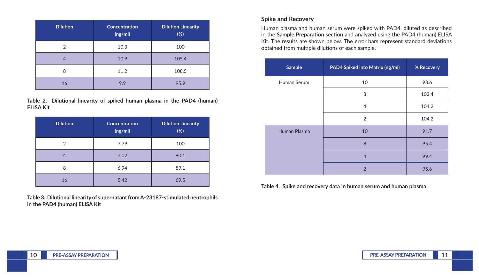| <b>Dilution</b> | <b>Concentration</b><br>(ng/ml) | <b>Dilution Linearity</b><br>(%) |
|-----------------|---------------------------------|----------------------------------|
| $\overline{2}$  | 10.3                            | 100                              |
| 4               | 10.9                            | 105.4                            |
| 8               | 11.2                            | 108.5                            |
| 16              | 9.9                             | 95.9                             |

**Table 2. Dilutional linearity of spiked human plasma in the PAD4 (human) ELISA Kit**

| <b>Dilution</b> | <b>Concentration</b><br>(ng/ml) | <b>Dilution Linearity</b><br>(%) |
|-----------------|---------------------------------|----------------------------------|
| 2               | 7.79                            | 100                              |
|                 | 7.02                            | 90.1                             |
| 8               | 6.94                            | 89.1                             |
| 16              | 5.42                            | 69.5                             |

**Table 3. Dilutional linearity of supernatant from A-23187-stimulated neutrophils in the PAD4 (human) ELISA Kit**

### **Spike and Recovery**

Human plasma and human serum were spiked with PAD4, diluted as described in the **Sample Preparation** section and analyzed using the PAD4 (human) ELISA Kit. The results are shown below. The error bars represent standard deviations obtained from multiple dilutions of each sample.

| <b>Sample</b> | PAD4 Spiked into Matrix (ng/ml) | % Recovery |
|---------------|---------------------------------|------------|
| Human Serum   | 10                              | 98.6       |
|               | 8                               | 102.4      |
|               | $\overline{4}$                  | 104.2      |
|               | $\overline{2}$                  | 104.2      |
| Human Plasma  | 10                              | 91.7       |
|               | 8                               | 95.4       |
|               | $\overline{4}$                  | 99.4       |
|               | $\overline{2}$                  | 95.6       |

**Table 4. Spike and recovery data in human serum and human plasma**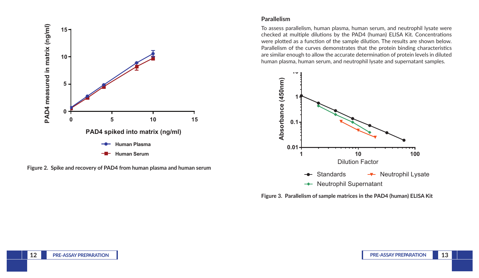

**Figure 2. Spike and recovery of PAD4 from human plasma and human serum**

### **Parallelism**

To assess parallelism, human plasma, human serum, and neutrophil lysate were checked at multiple dilutions by the PAD4 (human) ELISA Kit. Concentrations were plotted as a function of the sample dilution. The results are shown below. Parallelism of the curves demonstrates that the protein binding characteristics are similar enough to allow the accurate determination of protein levels in diluted human plasma, human serum, and neutrophil lysate and supernatant samples.



**Figure 3. Parallelism of sample matrices in the PAD4 (human) ELISA Kit**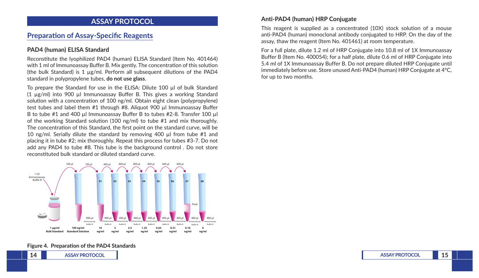### **ASSAY PROTOCOL**

## **Preparation of Assay-Specific Reagents**

### **PAD4 (human) ELISA Standard**

Reconstitute the lyophilized PAD4 (human) ELISA Standard (Item No. 401464) with 1 ml of Immunoassay Buffer B. Mix gently. The concentration of this solution (the bulk Standard) is 1  $\mu$ g/ml. Perform all subsequent dilutions of the PAD4 standard in polypropylene tubes, **do not use glass**.

To prepare the Standard for use in the ELISA: Dilute 100 µl of bulk Standard (1 µg/ml) into 900 µl Immunoassay Buffer B. This gives a working Standard solution with a concentration of 100 ng/ml. Obtain eight clean (polypropylene) test tubes and label them #1 through #8. Aliquot 900 µl Immunoassay Buffer B to tube #1 and 400 µl Immunoassay Buffer B to tubes #2-8. Transfer 100 µl of the working Standard solution (100 ng/ml) to tube #1 and mix thoroughly. The concentration of this Standard, the first point on the standard curve, will be 10 ng/ml. Serially dilute the standard by removing 400 µl from tube #1 and placing it in tube #2; mix thoroughly. Repeat this process for tubes #3-7. Do not add any PAD4 to tube #8. This tube is the background control . Do not store reconstituted bulk standard or diluted standard curve.



#### **Figure 4. Preparation of the PAD4 Standards**

### **Anti-PAD4 (human) HRP Conjugate**

This reagent is supplied as a concentrated (10X) stock solution of a mouse anti-PAD4 (human) monoclonal antibody conjugated to HRP. On the day of the assay, thaw the reagent (Item No. 401461) at room temperature.

For a full plate, dilute 1.2 ml of HRP Conjugate into 10.8 ml of 1X Immunoassay Buffer B (Item No. 400054); for a half plate, dilute 0.6 ml of HRP Conjugate into 5.4 ml of 1X Immunoassay Buffer B. Do not prepare diluted HRP Conjugate until immediately before use. Store unused Anti-PAD4 (human) HRP Conjugate at 4°C, for up to two months.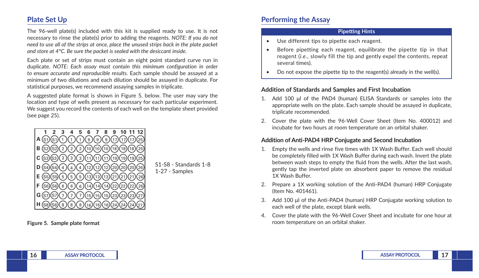# **Plate Set Up**

The 96-well plate(s) included with this kit is supplied ready to use. It is not necessary to rinse the plate(s) prior to adding the reagents. *NOTE: If you do not need to use all of the strips at once, place the unused strips back in the plate packet and store at 4°C. Be sure the packet is sealed with the desiccant inside.* 

Each plate or set of strips must contain an eight point standard curve run in duplicate. *NOTE: Each assay must contain this minimum configuration in order to ensure accurate and reproducible results.* Each sample should be assayed at a minimum of two dilutions and each dilution should be assayed in duplicate. For statistical purposes, we recommend assaying samples in triplicate.

A suggested plate format is shown in Figure 5, below. The user may vary the location and type of wells present as necessary for each particular experiment. We suggest you record the contents of each well on the template sheet provided (see page 25).



**Figure 5. Sample plate format**

# **Performing the Assay**

#### **Pipetting Hints**

- Use different tips to pipette each reagent.
- Before pipetting each reagent, equilibrate the pipette tip in that reagent (*i.e.*, slowly fill the tip and gently expel the contents, repeat several times).
- Do not expose the pipette tip to the reagent(s) already in the well(s).

### **Addition of Standards and Samples and First Incubation**

- 1. Add 100 μl of the PAD4 (human) ELISA Standards or samples into the appropriate wells on the plate. Each sample should be assayed in duplicate, triplicate recommended.
- 2. Cover the plate with the 96-Well Cover Sheet (Item No. 400012) and incubate for two hours at room temperature on an orbital shaker.

### **Addition of Anti-PAD4 HRP Conjugate and Second Incubation**

- 1. Empty the wells and rinse five times with 1X Wash Buffer. Each well should be completely filled with 1X Wash Buffer during each wash. Invert the plate between wash steps to empty the fluid from the wells. After the last wash, gently tap the inverted plate on absorbent paper to remove the residual 1X Wash Buffer.
- 2. Prepare a 1X working solution of the Anti-PAD4 (human) HRP Conjugate (Item No. 401461).
- 3. Add 100 μl of the Anti-PAD4 (human) HRP Conjugate working solution to each well of the plate, except blank wells.
- 4. Cover the plate with the 96-Well Cover Sheet and incubate for one hour at room temperature on an orbital shaker.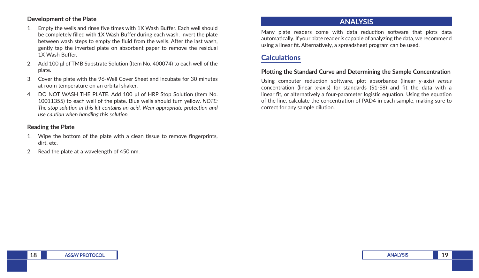#### **Development of the Plate**

- 1. Empty the wells and rinse five times with 1X Wash Buffer. Each well should be completely filled with 1X Wash Buffer during each wash. Invert the plate between wash steps to empty the fluid from the wells. After the last wash, gently tap the inverted plate on absorbent paper to remove the residual 1X Wash Buffer.
- 2. Add 100 μl of TMB Substrate Solution (Item No. 400074) to each well of the plate.
- 3. Cover the plate with the 96-Well Cover Sheet and incubate for 30 minutes at room temperature on an orbital shaker.
- 4. DO NOT WASH THE PLATE. Add 100 μl of HRP Stop Solution (Item No. 10011355) to each well of the plate. Blue wells should turn yellow. *NOTE: The stop solution in this kit contains an acid. Wear appropriate protection and use caution when handling this solution.*

### **Reading the Plate**

- 1. Wipe the bottom of the plate with a clean tissue to remove fingerprints, dirt, etc.
- 2. Read the plate at a wavelength of 450 nm.

## **ANALYSIS**

Many plate readers come with data reduction software that plots data automatically. If your plate reader is capable of analyzing the data, we recommend using a linear fit. Alternatively, a spreadsheet program can be used.

# **Calculations**

### **Plotting the Standard Curve and Determining the Sample Concentration**

Using computer reduction software, plot absorbance (linear y-axis) *versus* concentration (linear x-axis) for standards (S1-S8) and fit the data with a linear fit, or alternatively a four-parameter logistic equation. Using the equation of the line, calculate the concentration of PAD4 in each sample, making sure to correct for any sample dilution.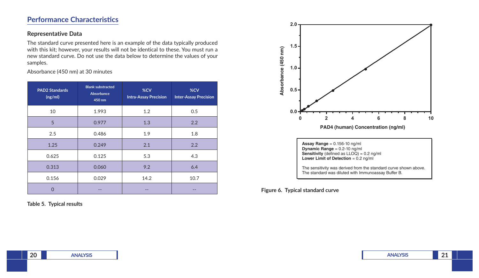# **Performance Characteristics**

### **Representative Data**

The standard curve presented here is an example of the data typically produced with this kit; however, your results will not be identical to these. You must run a new standard curve. Do not use the data below to determine the values of your samples.

Absorbance (450 nm) at 30 minutes

| <b>PAD2 Standards</b><br>(ng/ml) | <b>Blank substracted</b><br>Absorbance<br>450 nm | %CV<br><b>Intra-Assay Precision</b> | %CV<br><b>Inter-Assay Precision</b> |
|----------------------------------|--------------------------------------------------|-------------------------------------|-------------------------------------|
| 10                               | 1.993                                            | 1.2                                 | 0.5                                 |
| 5                                | 0.977                                            | 1.3                                 | 2.2                                 |
| 2.5                              | 0.486                                            | 1.9                                 | 1.8                                 |
| 1.25                             | 0.249                                            | 2.1                                 | 2.2                                 |
| 0.625                            | 0.125                                            | 5.3                                 | 4.3                                 |
| 0.313                            | 0.060                                            | 9.2                                 | 6.4                                 |
| 0.156                            | 0.029                                            | 14.2                                | 10.7                                |
| D                                |                                                  |                                     |                                     |

**Table 5. Typical results**



**Figure 6. Typical standard curve**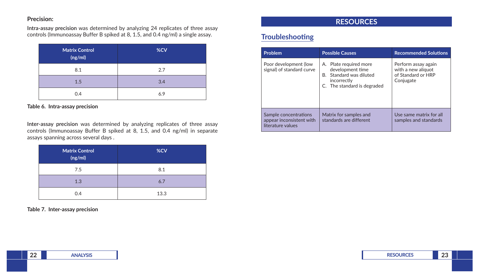### **Precision:**

**Intra-assay precision** was determined by analyzing 24 replicates of three assay controls (Immunoassay Buffer B spiked at 8, 1.5, and 0.4 ng/ml) a single assay.

| <b>Matrix Control</b><br>(ng/ml) | %CV |
|----------------------------------|-----|
| 8.1                              | 2.7 |
| 1.5                              | 3.4 |
| 0.4                              | 6.9 |

#### **Table 6. Intra-assay precision**

**Inter-assay precision** was determined by analyzing replicates of three assay controls (Immunoassay Buffer B spiked at 8, 1.5, and 0.4 ng/ml) in separate assays spanning across several days .

| <b>Matrix Control</b><br>(ng/ml) | %CV  |
|----------------------------------|------|
| 7.5                              | 8.1  |
| 1.3                              | 6.7  |
| 0.4                              | 13.3 |

**Table 7. Inter-assay precision**

# **RESOURCES**

# **Troubleshooting**

| <b>Problem</b>                                                         | <b>Possible Causes</b>                                                                                              | <b>Recommended Solutions</b>                                                 |
|------------------------------------------------------------------------|---------------------------------------------------------------------------------------------------------------------|------------------------------------------------------------------------------|
| Poor development (low<br>signal) of standard curve                     | A. Plate required more<br>development time<br>B. Standard was diluted<br>incorrectly<br>C. The standard is degraded | Perform assay again<br>with a new aliquot<br>of Standard or HRP<br>Conjugate |
| Sample concentrations<br>appear inconsistent with<br>literature values | Matrix for samples and<br>standards are different                                                                   | Use same matrix for all<br>samples and standards                             |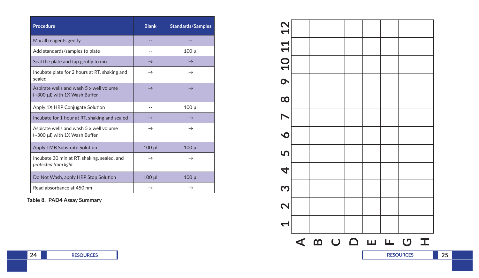| Procedure                                                                | <b>Blank</b>  | <b>Standards/Samples</b> |
|--------------------------------------------------------------------------|---------------|--------------------------|
| Mix all reagents gently                                                  |               |                          |
| Add standards/samples to plate                                           |               | $100 \mu$                |
| Seal the plate and tap gently to mix                                     | $\rightarrow$ | $\rightarrow$            |
| Incubate plate for 2 hours at RT, shaking and<br>sealed                  | $\rightarrow$ | $\rightarrow$            |
| Aspirate wells and wash 5 x well volume<br>(~300 µl) with 1X Wash Buffer | $\rightarrow$ | $\rightarrow$            |
| Apply 1X HRP Conjugate Solution                                          | $-$           | $100 \mu$                |
| Incubate for 1 hour at RT, shaking and sealed                            | $\rightarrow$ | $\rightarrow$            |
| Aspirate wells and wash 5 x well volume<br>(~300 µl) with 1X Wash Buffer | $\rightarrow$ | $\rightarrow$            |
| <b>Apply TMB Substrate Solution</b>                                      | 100 µl        | $100$ $\mu$              |
| Incubate 30 min at RT, shaking, sealed, and<br>protected from light      | $\rightarrow$ | $\rightarrow$            |
| Do Not Wash, apply HRP Stop Solution                                     | $100$ $\mu$   | $100$ $\mu$              |
| Read absorbance at 450 nm                                                | $\rightarrow$ |                          |

**Table 8. PAD4 Assay Summary**